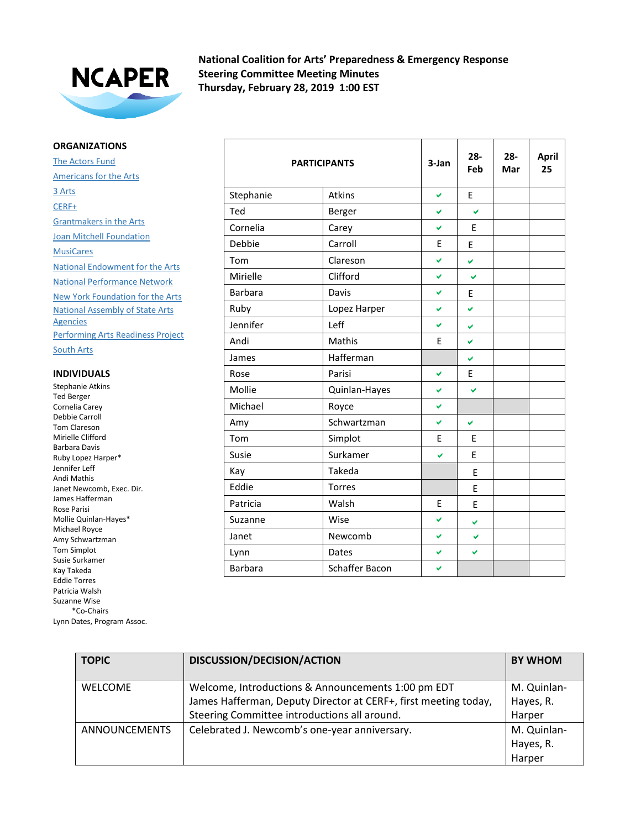

**National Coalition for Arts' Preparedness & Emergency Response Steering Committee Meeting Minutes Thursday, February 28, 2019 1:00 EST**

## **ORGANIZATIONS**

The Actors Fund Americans for the Arts 3 Arts CERF+ Grantmakers in the Arts **Joan Mitchell Foundation MusiCares** National Endowment for the Arts National Performance Network New York Foundation for the Arts National Assembly of State Arts **Agencies** Performing Arts Readiness Project

South Arts

## **INDIVIDUALS**

Stephanie Atkins Ted Berger Cornelia Carey Debbie Carroll Tom Clareson Mirielle Clifford Barbara Davis Ruby Lopez Harper\* Jennifer Leff Andi Mathis Janet Newcomb, Exec. Dir. James Hafferman Rose Parisi Mollie Quinlan-Hayes\* Michael Royce Amy Schwartzman Tom Simplot Susie Surkamer Kay Takeda Eddie Torres Patricia Walsh Suzanne Wise \*Co-Chairs Lynn Dates, Program Assoc.

|                | <b>PARTICIPANTS</b> | 3-Jan | $28 -$<br>Feb | $28 -$<br>Mar | <b>April</b><br>25 |
|----------------|---------------------|-------|---------------|---------------|--------------------|
| Stephanie      | <b>Atkins</b>       | V     | E             |               |                    |
| Ted            | Berger              | V     | Ø             |               |                    |
| Cornelia       | Carey               | Ø     | E             |               |                    |
| Debbie         | Carroll             | E     | E             |               |                    |
| Tom            | Clareson            | Ø     | V             |               |                    |
| Mirielle       | Clifford            | V     | V             |               |                    |
| <b>Barbara</b> | Davis               | V     | E             |               |                    |
| Ruby           | Lopez Harper        | Ō.    | ✔             |               |                    |
| Jennifer       | Leff                | Ō.    | ✔             |               |                    |
| Andi           | Mathis              | E     | V             |               |                    |
| James          | Hafferman           |       | V             |               |                    |
| Rose           | Parisi              | V     | E             |               |                    |
| Mollie         | Quinlan-Hayes       | U     | V             |               |                    |
| Michael        | Royce               | Ø     |               |               |                    |
| Amy            | Schwartzman         | V     | V             |               |                    |
| Tom            | Simplot             | E     | E             |               |                    |
| Susie          | Surkamer            | ✓     | E             |               |                    |
| Kay            | Takeda              |       | E             |               |                    |
| Eddie          | <b>Torres</b>       |       | E             |               |                    |
| Patricia       | Walsh               | E     | E             |               |                    |
| Suzanne        | Wise                | V     | ✔             |               |                    |
| Janet          | Newcomb             | V     | V             |               |                    |
| Lynn           | Dates               | Ø     | V             |               |                    |
| <b>Barbara</b> | Schaffer Bacon      | Ø     |               |               |                    |

| <b>TOPIC</b>         | DISCUSSION/DECISION/ACTION                                                                                            | <b>BY WHOM</b>           |
|----------------------|-----------------------------------------------------------------------------------------------------------------------|--------------------------|
| <b>WELCOME</b>       | Welcome, Introductions & Announcements 1:00 pm EDT<br>James Hafferman, Deputy Director at CERF+, first meeting today, | M. Quinlan-<br>Hayes, R. |
|                      | Steering Committee introductions all around.                                                                          | Harper                   |
| <b>ANNOUNCEMENTS</b> | Celebrated J. Newcomb's one-year anniversary.                                                                         | M. Quinlan-              |
|                      |                                                                                                                       | Hayes, R.                |
|                      |                                                                                                                       | Harper                   |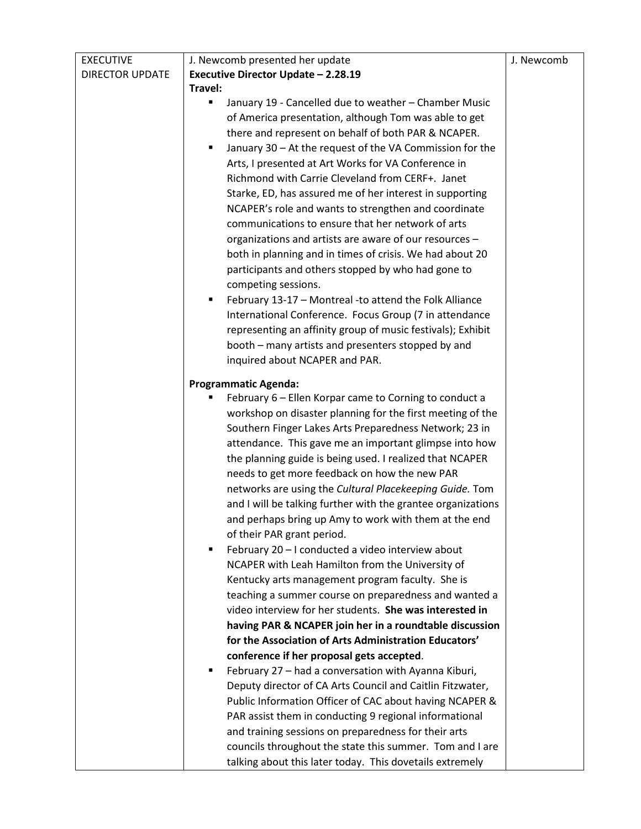| <b>EXECUTIVE</b>       | J. Newcomb presented her update                               | J. Newcomb |
|------------------------|---------------------------------------------------------------|------------|
| <b>DIRECTOR UPDATE</b> | Executive Director Update - 2.28.19                           |            |
|                        | Travel:                                                       |            |
|                        | January 19 - Cancelled due to weather - Chamber Music         |            |
|                        | of America presentation, although Tom was able to get         |            |
|                        | there and represent on behalf of both PAR & NCAPER.           |            |
|                        | January 30 - At the request of the VA Commission for the<br>٠ |            |
|                        | Arts, I presented at Art Works for VA Conference in           |            |
|                        | Richmond with Carrie Cleveland from CERF+. Janet              |            |
|                        | Starke, ED, has assured me of her interest in supporting      |            |
|                        | NCAPER's role and wants to strengthen and coordinate          |            |
|                        | communications to ensure that her network of arts             |            |
|                        | organizations and artists are aware of our resources -        |            |
|                        | both in planning and in times of crisis. We had about 20      |            |
|                        | participants and others stopped by who had gone to            |            |
|                        | competing sessions.                                           |            |
|                        | February 13-17 - Montreal -to attend the Folk Alliance<br>٠   |            |
|                        | International Conference. Focus Group (7 in attendance        |            |
|                        | representing an affinity group of music festivals); Exhibit   |            |
|                        | booth - many artists and presenters stopped by and            |            |
|                        | inquired about NCAPER and PAR.                                |            |
|                        |                                                               |            |
|                        | <b>Programmatic Agenda:</b>                                   |            |
|                        | February 6 - Ellen Korpar came to Corning to conduct a        |            |
|                        | workshop on disaster planning for the first meeting of the    |            |
|                        | Southern Finger Lakes Arts Preparedness Network; 23 in        |            |
|                        | attendance. This gave me an important glimpse into how        |            |
|                        | the planning guide is being used. I realized that NCAPER      |            |
|                        | needs to get more feedback on how the new PAR                 |            |
|                        | networks are using the Cultural Placekeeping Guide. Tom       |            |
|                        | and I will be talking further with the grantee organizations  |            |
|                        | and perhaps bring up Amy to work with them at the end         |            |
|                        | of their PAR grant period.                                    |            |
|                        | February 20 - I conducted a video interview about             |            |
|                        | NCAPER with Leah Hamilton from the University of              |            |
|                        | Kentucky arts management program faculty. She is              |            |
|                        | teaching a summer course on preparedness and wanted a         |            |
|                        | video interview for her students. She was interested in       |            |
|                        | having PAR & NCAPER join her in a roundtable discussion       |            |
|                        | for the Association of Arts Administration Educators'         |            |
|                        | conference if her proposal gets accepted.                     |            |
|                        | February 27 - had a conversation with Ayanna Kiburi,<br>п     |            |
|                        | Deputy director of CA Arts Council and Caitlin Fitzwater,     |            |
|                        | Public Information Officer of CAC about having NCAPER &       |            |
|                        | PAR assist them in conducting 9 regional informational        |            |
|                        | and training sessions on preparedness for their arts          |            |
|                        | councils throughout the state this summer. Tom and I are      |            |
|                        | talking about this later today. This dovetails extremely      |            |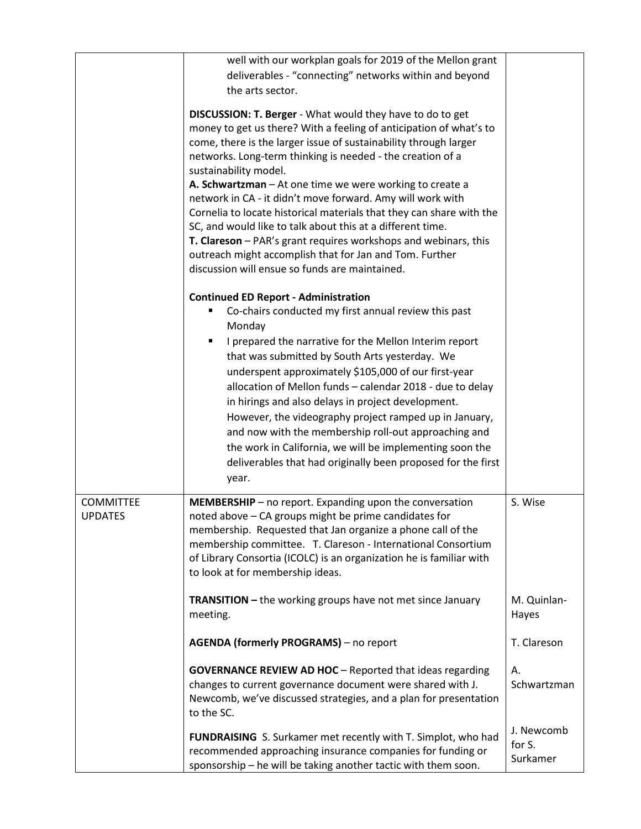|                                    | well with our workplan goals for 2019 of the Mellon grant                                                                                                                                                                                                                                                                                                                                                                                                                                                                                                                                                                                                                                                                                         |                                  |
|------------------------------------|---------------------------------------------------------------------------------------------------------------------------------------------------------------------------------------------------------------------------------------------------------------------------------------------------------------------------------------------------------------------------------------------------------------------------------------------------------------------------------------------------------------------------------------------------------------------------------------------------------------------------------------------------------------------------------------------------------------------------------------------------|----------------------------------|
|                                    | deliverables - "connecting" networks within and beyond                                                                                                                                                                                                                                                                                                                                                                                                                                                                                                                                                                                                                                                                                            |                                  |
|                                    | the arts sector.                                                                                                                                                                                                                                                                                                                                                                                                                                                                                                                                                                                                                                                                                                                                  |                                  |
|                                    | <b>DISCUSSION: T. Berger - What would they have to do to get</b><br>money to get us there? With a feeling of anticipation of what's to<br>come, there is the larger issue of sustainability through larger<br>networks. Long-term thinking is needed - the creation of a<br>sustainability model.<br>A. Schwartzman - At one time we were working to create a<br>network in CA - it didn't move forward. Amy will work with<br>Cornelia to locate historical materials that they can share with the<br>SC, and would like to talk about this at a different time.<br>T. Clareson - PAR's grant requires workshops and webinars, this<br>outreach might accomplish that for Jan and Tom. Further<br>discussion will ensue so funds are maintained. |                                  |
|                                    | <b>Continued ED Report - Administration</b><br>Co-chairs conducted my first annual review this past<br>Monday<br>I prepared the narrative for the Mellon Interim report<br>that was submitted by South Arts yesterday. We<br>underspent approximately \$105,000 of our first-year<br>allocation of Mellon funds - calendar 2018 - due to delay<br>in hirings and also delays in project development.<br>However, the videography project ramped up in January,<br>and now with the membership roll-out approaching and<br>the work in California, we will be implementing soon the<br>deliverables that had originally been proposed for the first                                                                                                |                                  |
|                                    | year.                                                                                                                                                                                                                                                                                                                                                                                                                                                                                                                                                                                                                                                                                                                                             |                                  |
|                                    |                                                                                                                                                                                                                                                                                                                                                                                                                                                                                                                                                                                                                                                                                                                                                   |                                  |
| <b>COMMITTEE</b><br><b>UPDATES</b> | MEMBERSHIP - no report. Expanding upon the conversation<br>noted above - CA groups might be prime candidates for<br>membership. Requested that Jan organize a phone call of the<br>membership committee. T. Clareson - International Consortium<br>of Library Consortia (ICOLC) is an organization he is familiar with<br>to look at for membership ideas.                                                                                                                                                                                                                                                                                                                                                                                        | S. Wise                          |
|                                    | <b>TRANSITION - the working groups have not met since January</b><br>meeting.                                                                                                                                                                                                                                                                                                                                                                                                                                                                                                                                                                                                                                                                     | M. Quinlan-<br>Hayes             |
|                                    | <b>AGENDA (formerly PROGRAMS)</b> – no report                                                                                                                                                                                                                                                                                                                                                                                                                                                                                                                                                                                                                                                                                                     | T. Clareson                      |
|                                    | <b>GOVERNANCE REVIEW AD HOC</b> - Reported that ideas regarding<br>changes to current governance document were shared with J.<br>Newcomb, we've discussed strategies, and a plan for presentation<br>to the SC.                                                                                                                                                                                                                                                                                                                                                                                                                                                                                                                                   | Α.<br>Schwartzman                |
|                                    | FUNDRAISING S. Surkamer met recently with T. Simplot, who had<br>recommended approaching insurance companies for funding or<br>sponsorship - he will be taking another tactic with them soon.                                                                                                                                                                                                                                                                                                                                                                                                                                                                                                                                                     | J. Newcomb<br>for S.<br>Surkamer |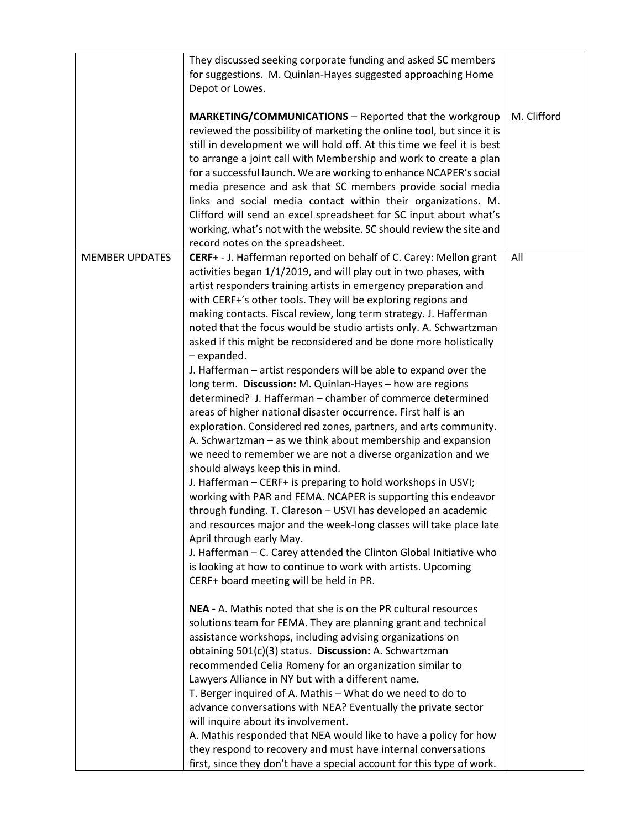|                       | They discussed seeking corporate funding and asked SC members                                                                                                                                                                                                                                                                                                                                                                                                                                                                                                                                                                                                         |             |
|-----------------------|-----------------------------------------------------------------------------------------------------------------------------------------------------------------------------------------------------------------------------------------------------------------------------------------------------------------------------------------------------------------------------------------------------------------------------------------------------------------------------------------------------------------------------------------------------------------------------------------------------------------------------------------------------------------------|-------------|
|                       | for suggestions. M. Quinlan-Hayes suggested approaching Home                                                                                                                                                                                                                                                                                                                                                                                                                                                                                                                                                                                                          |             |
|                       | Depot or Lowes.                                                                                                                                                                                                                                                                                                                                                                                                                                                                                                                                                                                                                                                       |             |
|                       | MARKETING/COMMUNICATIONS - Reported that the workgroup<br>reviewed the possibility of marketing the online tool, but since it is<br>still in development we will hold off. At this time we feel it is best<br>to arrange a joint call with Membership and work to create a plan<br>for a successful launch. We are working to enhance NCAPER's social<br>media presence and ask that SC members provide social media<br>links and social media contact within their organizations. M.<br>Clifford will send an excel spreadsheet for SC input about what's<br>working, what's not with the website. SC should review the site and<br>record notes on the spreadsheet. | M. Clifford |
| <b>MEMBER UPDATES</b> | CERF+ - J. Hafferman reported on behalf of C. Carey: Mellon grant                                                                                                                                                                                                                                                                                                                                                                                                                                                                                                                                                                                                     | All         |
|                       | activities began 1/1/2019, and will play out in two phases, with                                                                                                                                                                                                                                                                                                                                                                                                                                                                                                                                                                                                      |             |
|                       | artist responders training artists in emergency preparation and                                                                                                                                                                                                                                                                                                                                                                                                                                                                                                                                                                                                       |             |
|                       | with CERF+'s other tools. They will be exploring regions and                                                                                                                                                                                                                                                                                                                                                                                                                                                                                                                                                                                                          |             |
|                       | making contacts. Fiscal review, long term strategy. J. Hafferman                                                                                                                                                                                                                                                                                                                                                                                                                                                                                                                                                                                                      |             |
|                       | noted that the focus would be studio artists only. A. Schwartzman                                                                                                                                                                                                                                                                                                                                                                                                                                                                                                                                                                                                     |             |
|                       | asked if this might be reconsidered and be done more holistically<br>- expanded.                                                                                                                                                                                                                                                                                                                                                                                                                                                                                                                                                                                      |             |
|                       | J. Hafferman - artist responders will be able to expand over the                                                                                                                                                                                                                                                                                                                                                                                                                                                                                                                                                                                                      |             |
|                       | long term. Discussion: M. Quinlan-Hayes - how are regions                                                                                                                                                                                                                                                                                                                                                                                                                                                                                                                                                                                                             |             |
|                       | determined? J. Hafferman – chamber of commerce determined                                                                                                                                                                                                                                                                                                                                                                                                                                                                                                                                                                                                             |             |
|                       | areas of higher national disaster occurrence. First half is an                                                                                                                                                                                                                                                                                                                                                                                                                                                                                                                                                                                                        |             |
|                       | exploration. Considered red zones, partners, and arts community.                                                                                                                                                                                                                                                                                                                                                                                                                                                                                                                                                                                                      |             |
|                       | A. Schwartzman - as we think about membership and expansion                                                                                                                                                                                                                                                                                                                                                                                                                                                                                                                                                                                                           |             |
|                       | we need to remember we are not a diverse organization and we                                                                                                                                                                                                                                                                                                                                                                                                                                                                                                                                                                                                          |             |
|                       | should always keep this in mind.                                                                                                                                                                                                                                                                                                                                                                                                                                                                                                                                                                                                                                      |             |
|                       | J. Hafferman - CERF+ is preparing to hold workshops in USVI;<br>working with PAR and FEMA. NCAPER is supporting this endeavor                                                                                                                                                                                                                                                                                                                                                                                                                                                                                                                                         |             |
|                       | through funding. T. Clareson - USVI has developed an academic                                                                                                                                                                                                                                                                                                                                                                                                                                                                                                                                                                                                         |             |
|                       | and resources major and the week-long classes will take place late                                                                                                                                                                                                                                                                                                                                                                                                                                                                                                                                                                                                    |             |
|                       | April through early May.                                                                                                                                                                                                                                                                                                                                                                                                                                                                                                                                                                                                                                              |             |
|                       | J. Hafferman - C. Carey attended the Clinton Global Initiative who                                                                                                                                                                                                                                                                                                                                                                                                                                                                                                                                                                                                    |             |
|                       | is looking at how to continue to work with artists. Upcoming                                                                                                                                                                                                                                                                                                                                                                                                                                                                                                                                                                                                          |             |
|                       | CERF+ board meeting will be held in PR.                                                                                                                                                                                                                                                                                                                                                                                                                                                                                                                                                                                                                               |             |
|                       | NEA - A. Mathis noted that she is on the PR cultural resources                                                                                                                                                                                                                                                                                                                                                                                                                                                                                                                                                                                                        |             |
|                       | solutions team for FEMA. They are planning grant and technical                                                                                                                                                                                                                                                                                                                                                                                                                                                                                                                                                                                                        |             |
|                       | assistance workshops, including advising organizations on                                                                                                                                                                                                                                                                                                                                                                                                                                                                                                                                                                                                             |             |
|                       | obtaining 501(c)(3) status. Discussion: A. Schwartzman                                                                                                                                                                                                                                                                                                                                                                                                                                                                                                                                                                                                                |             |
|                       | recommended Celia Romeny for an organization similar to                                                                                                                                                                                                                                                                                                                                                                                                                                                                                                                                                                                                               |             |
|                       | Lawyers Alliance in NY but with a different name.                                                                                                                                                                                                                                                                                                                                                                                                                                                                                                                                                                                                                     |             |
|                       | T. Berger inquired of A. Mathis - What do we need to do to                                                                                                                                                                                                                                                                                                                                                                                                                                                                                                                                                                                                            |             |
|                       | advance conversations with NEA? Eventually the private sector                                                                                                                                                                                                                                                                                                                                                                                                                                                                                                                                                                                                         |             |
|                       | will inquire about its involvement.                                                                                                                                                                                                                                                                                                                                                                                                                                                                                                                                                                                                                                   |             |
|                       | A. Mathis responded that NEA would like to have a policy for how                                                                                                                                                                                                                                                                                                                                                                                                                                                                                                                                                                                                      |             |
|                       | they respond to recovery and must have internal conversations                                                                                                                                                                                                                                                                                                                                                                                                                                                                                                                                                                                                         |             |
|                       | first, since they don't have a special account for this type of work.                                                                                                                                                                                                                                                                                                                                                                                                                                                                                                                                                                                                 |             |